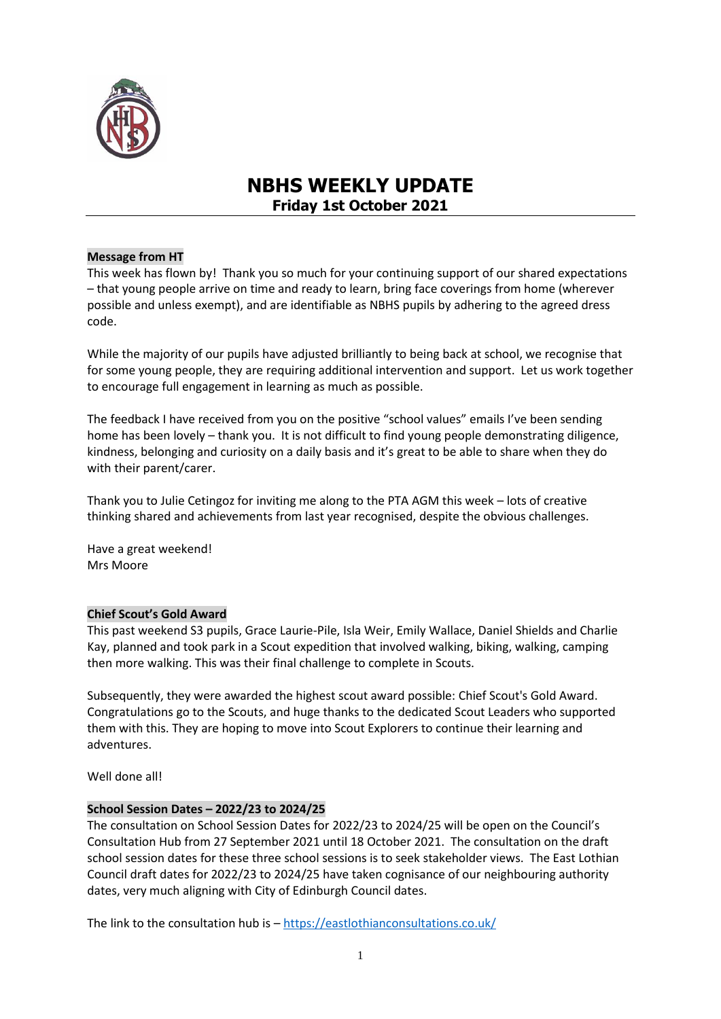

# **NBHS WEEKLY UPDATE Friday 1st October 2021**

# **Message from HT**

This week has flown by! Thank you so much for your continuing support of our shared expectations – that young people arrive on time and ready to learn, bring face coverings from home (wherever possible and unless exempt), and are identifiable as NBHS pupils by adhering to the agreed dress code.

While the majority of our pupils have adjusted brilliantly to being back at school, we recognise that for some young people, they are requiring additional intervention and support. Let us work together to encourage full engagement in learning as much as possible.

The feedback I have received from you on the positive "school values" emails I've been sending home has been lovely – thank you. It is not difficult to find young people demonstrating diligence, kindness, belonging and curiosity on a daily basis and it's great to be able to share when they do with their parent/carer.

Thank you to Julie Cetingoz for inviting me along to the PTA AGM this week – lots of creative thinking shared and achievements from last year recognised, despite the obvious challenges.

Have a great weekend! Mrs Moore

## **Chief Scout's Gold Award**

This past weekend S3 pupils, Grace Laurie-Pile, Isla Weir, Emily Wallace, Daniel Shields and Charlie Kay, planned and took park in a Scout expedition that involved walking, biking, walking, camping then more walking. This was their final challenge to complete in Scouts.

Subsequently, they were awarded the highest scout award possible: Chief Scout's Gold Award. Congratulations go to the Scouts, and huge thanks to the dedicated Scout Leaders who supported them with this. They are hoping to move into Scout Explorers to continue their learning and adventures.

Well done all!

## **School Session Dates – 2022/23 to 2024/25**

The consultation on School Session Dates for 2022/23 to 2024/25 will be open on the Council's Consultation Hub from 27 September 2021 until 18 October 2021. The consultation on the draft school session dates for these three school sessions is to seek stakeholder views. The East Lothian Council draft dates for 2022/23 to 2024/25 have taken cognisance of our neighbouring authority dates, very much aligning with City of Edinburgh Council dates.

The link to the consultation hub is - <https://eastlothianconsultations.co.uk/>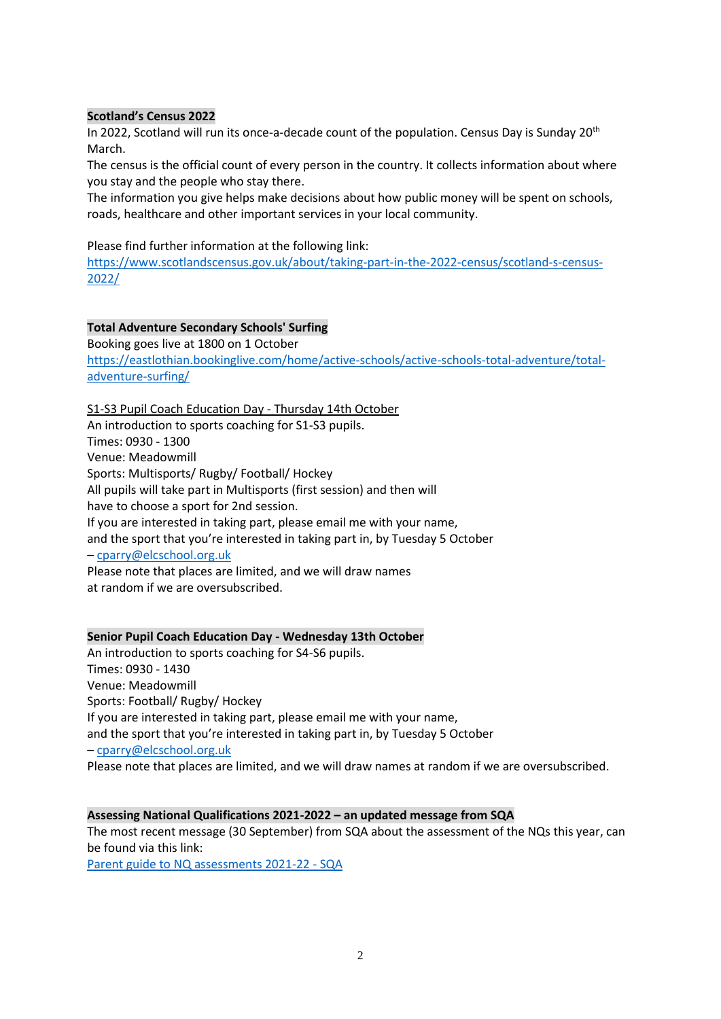# **Scotland's Census 2022**

In 2022, Scotland will run its once-a-decade count of the population. Census Day is Sunday  $20<sup>th</sup>$ March.

The census is the official count of every person in the country. It collects information about where you stay and the people who stay there.

The information you give helps make decisions about how public money will be spent on schools, roads, healthcare and other important services in your local community.

## Please find further information at the following link:

[https://www.scotlandscensus.gov.uk/about/taking-part-in-the-2022-census/scotland-s-census-](https://www.scotlandscensus.gov.uk/about/taking-part-in-the-2022-census/scotland-s-census-2022/)[2022/](https://www.scotlandscensus.gov.uk/about/taking-part-in-the-2022-census/scotland-s-census-2022/)

# **Total Adventure Secondary Schools' Surfing**

Booking goes live at 1800 on 1 October [https://eastlothian.bookinglive.com/home/active-schools/active-schools-total-adventure/total](https://eastlothian.bookinglive.com/home/active-schools/active-schools-total-adventure/total-adventure-surfing/)[adventure-surfing/](https://eastlothian.bookinglive.com/home/active-schools/active-schools-total-adventure/total-adventure-surfing/)

## S1-S3 Pupil Coach Education Day - Thursday 14th October

An introduction to sports coaching for S1-S3 pupils. Times: 0930 - 1300 Venue: Meadowmill Sports: Multisports/ Rugby/ Football/ Hockey All pupils will take part in Multisports (first session) and then will have to choose a sport for 2nd session. If you are interested in taking part, please email me with your name, and the sport that you're interested in taking part in, by Tuesday 5 October – [cparry@elcschool.org.uk](https://mail.google.com/mail/?view=cm&fs=1&to=cparry%40elcschool.org.uk&authuser=0) Please note that places are limited, and we will draw names at random if we are oversubscribed.

## **Senior Pupil Coach Education Day - Wednesday 13th October**

An introduction to sports coaching for S4-S6 pupils. Times: 0930 - 1430 Venue: Meadowmill Sports: Football/ Rugby/ Hockey If you are interested in taking part, please email me with your name, and the sport that you're interested in taking part in, by Tuesday 5 October – [cparry@elcschool.org.uk](https://mail.google.com/mail/?view=cm&fs=1&to=cparry%40elcschool.org.uk&authuser=0) Please note that places are limited, and we will draw names at random if we are oversubscribed.

## **Assessing National Qualifications 2021-2022 – an updated message from SQA**

The most recent message (30 September) from SQA about the assessment of the NQs this year, can be found via this link:

[Parent guide to NQ assessments 2021-22 -](https://blogs.sqa.org.uk/qualifications2022/sqa-national-qualifications-assessments-2021-22-a-message-for-parents-and-carers/) SQA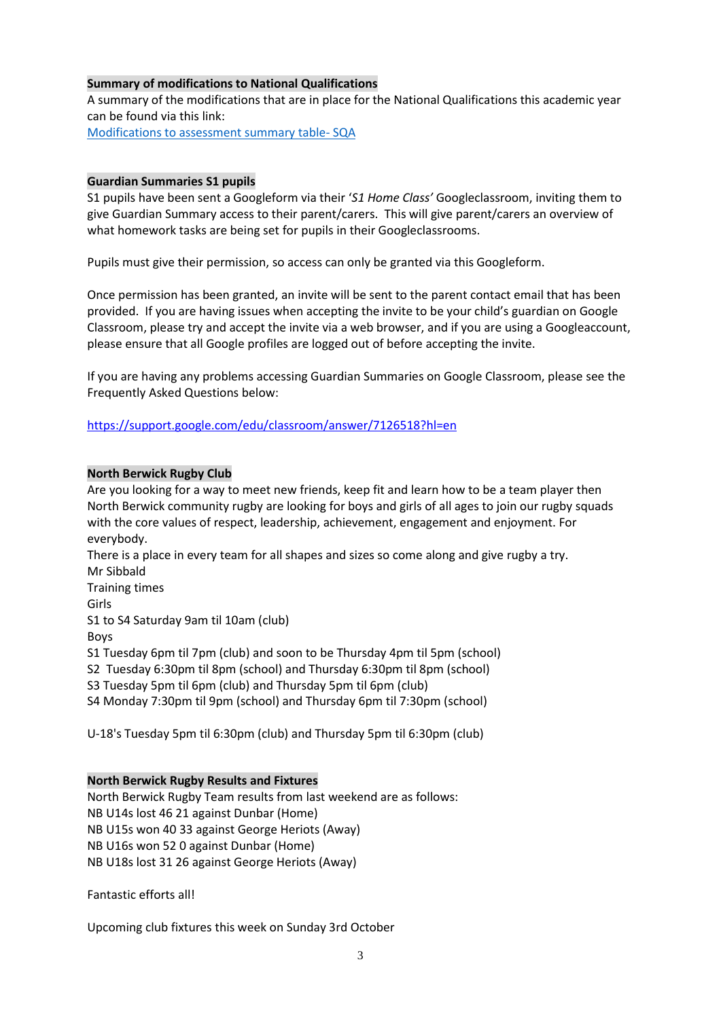# **Summary of modifications to National Qualifications**

A summary of the modifications that are in place for the National Qualifications this academic year can be found via this link:

[Modifications to assessment summary table-](https://www.sqa.org.uk/sqa/98682.html) SQA

#### **Guardian Summaries S1 pupils**

S1 pupils have been sent a Googleform via their '*S1 Home Class'* Googleclassroom, inviting them to give Guardian Summary access to their parent/carers. This will give parent/carers an overview of what homework tasks are being set for pupils in their Googleclassrooms.

Pupils must give their permission, so access can only be granted via this Googleform.

Once permission has been granted, an invite will be sent to the parent contact email that has been provided. If you are having issues when accepting the invite to be your child's guardian on Google Classroom, please try and accept the invite via a web browser, and if you are using a Googleaccount, please ensure that all Google profiles are logged out of before accepting the invite.

If you are having any problems accessing Guardian Summaries on Google Classroom, please see the Frequently Asked Questions below:

[https://support.google.com/edu/classroom/answer/7126518?hl=en](http://email.groupcallalert.com/ls/click?upn=D7MUcujhOab86cYZL5e3W4ebtukAMhHST1gqBwUFjohtWj7Bkpg3Bil2C7RoufzrUKSZSVJBG0Hbp-2BEDXD-2FPWGMkjcA6-2B-2FqDPWjyVsWKX3Y-3D_kLc_2M0QhEK7Fo4y-2FQ50ope1N6h5hDlI8oeHlP1hOLvuajlPrN0VdC7RJrsqwj9q-2FdHwRGc00hOIDCUcvQ8IC2hujSWxR4JOrnRWkaJXqhk2FmaeSms-2FrwomV6gi5Xbn83xKnMIfpXO24MKREIt5CnQKUbmbNhE1N1ftxVTEgPSn4VkZsf33k98g0La8qlAN1dUwvuTX0g9kXwknPb5-2FBxNHM7KYeA4-2Bj9LQIqQeQAlmGWe1cFroFO9J2s-2FDrglsJ35F-2BXiWatlH1kdF91e7OA8MoPQiXql5vLJsAsU3oLaf-2FJ8rA2TtyPpZ-2F8gLeqpX93Cb0pFL-2Br44StmMmlwYeeaBwI7De46mK8JWTcB2ng0NhT2xhZajCKUbQC1lI-2BndF7yHHEbsijjR-2F-2FINsgfCyz5HBwrhw2cWUjfsRB88m9jjWjE-3D)

## **North Berwick Rugby Club**

Are you looking for a way to meet new friends, keep fit and learn how to be a team player then North Berwick community rugby are looking for boys and girls of all ages to join our rugby squads with the core values of respect, leadership, achievement, engagement and enjoyment. For everybody. There is a place in every team for all shapes and sizes so come along and give rugby a try. Mr Sibbald Training times Girls S1 to S4 Saturday 9am til 10am (club)

Boys

S1 Tuesday 6pm til 7pm (club) and soon to be Thursday 4pm til 5pm (school)

S2 Tuesday 6:30pm til 8pm (school) and Thursday 6:30pm til 8pm (school)

S3 Tuesday 5pm til 6pm (club) and Thursday 5pm til 6pm (club)

S4 Monday 7:30pm til 9pm (school) and Thursday 6pm til 7:30pm (school)

U-18's Tuesday 5pm til 6:30pm (club) and Thursday 5pm til 6:30pm (club)

## **North Berwick Rugby Results and Fixtures**

North Berwick Rugby Team results from last weekend are as follows: NB U14s lost 46 21 against Dunbar (Home) NB U15s won 40 33 against George Heriots (Away) NB U16s won 52 0 against Dunbar (Home) NB U18s lost 31 26 against George Heriots (Away)

Fantastic efforts all!

Upcoming club fixtures this week on Sunday 3rd October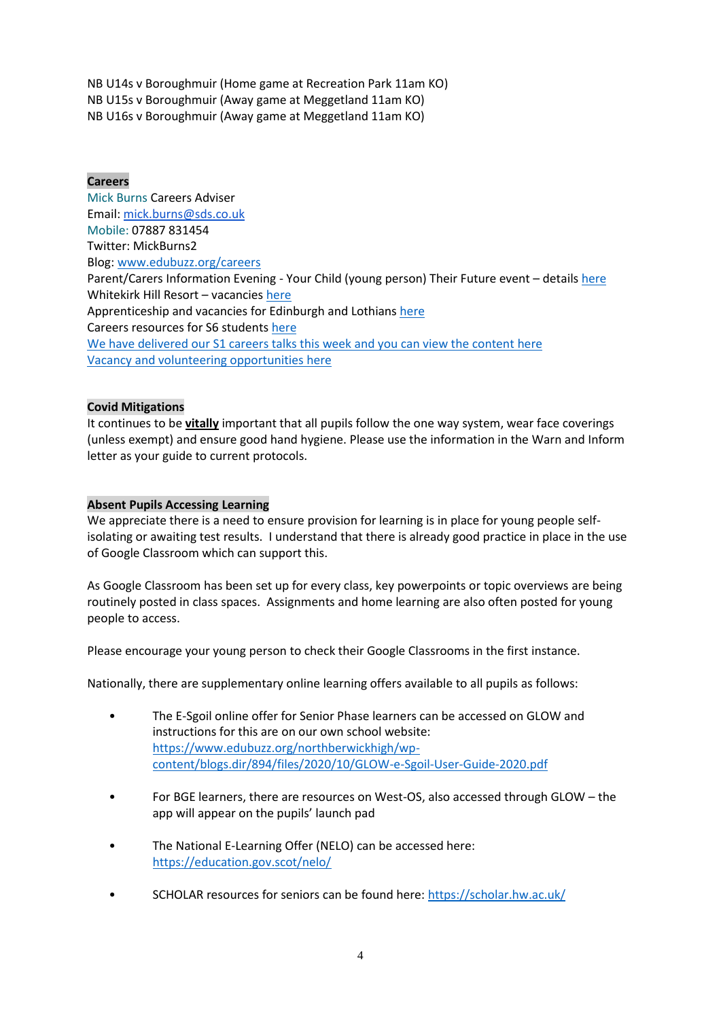NB U14s v Boroughmuir (Home game at Recreation Park 11am KO) NB U15s v Boroughmuir (Away game at Meggetland 11am KO) NB U16s v Boroughmuir (Away game at Meggetland 11am KO)

# **Careers**

Mick Burns Careers Adviser Email: [mick.burns@sds.co.uk](https://mail.elcschool.org.uk/owa/redir.aspx?C=fbGa3DGVrsUoQB2CnJP23eXwMGzxu7J1CtarT6dTOwkq_NlpJujXCA..&URL=mailto%3amick.burns%40sds.co.uk) Mobile: 07887 831454 Twitter: MickBurns2 Blog: [www.edubuzz.org/careers](http://www.edubuzz.org/careers) Parent/Carers Information Evening - Your Child (young person) Their Future event - details [here](https://www.edubuzz.org/careers/2021/09/22/parent-carers-information-evening-your-child-young-person-their-future/) Whitekirk Hill Resort – vacancies [here](https://www.edubuzz.org/careers/2021/09/22/whitekirk-hill-resort-vacancies/) Apprenticeship and vacancies for Edinburgh and Lothians [here](https://www.edubuzz.org/careers/2021/09/23/apprenticeship-and-vacancies/) Careers resources for S6 students [here](https://issuu.com/mickburns/docs/s6_careers_book_mb_june_2021) We have delivered our S1 careers talks this week and you can view the content [here](https://www.edubuzz.org/careers/2021/09/21/s1-careers-talk-2021/) Vacancy and volunteering opportunities [here](https://www.edubuzz.org/careers/2021/09/28/vacancy-and-volunteering-opportunities/)

# **Covid Mitigations**

It continues to be **vitally** important that all pupils follow the one way system, wear face coverings (unless exempt) and ensure good hand hygiene. Please use the information in the Warn and Inform letter as your guide to current protocols.

## **Absent Pupils Accessing Learning**

We appreciate there is a need to ensure provision for learning is in place for young people selfisolating or awaiting test results. I understand that there is already good practice in place in the use of Google Classroom which can support this.

As Google Classroom has been set up for every class, key powerpoints or topic overviews are being routinely posted in class spaces. Assignments and home learning are also often posted for young people to access.

Please encourage your young person to check their Google Classrooms in the first instance.

Nationally, there are supplementary online learning offers available to all pupils as follows:

- The E-Sgoil online offer for Senior Phase learners can be accessed on GLOW and instructions for this are on our own school website: [https://www.edubuzz.org/northberwickhigh/wp](https://www.edubuzz.org/northberwickhigh/wp-content/blogs.dir/894/files/2020/10/GLOW-e-Sgoil-User-Guide-2020.pdf)[content/blogs.dir/894/files/2020/10/GLOW-e-Sgoil-User-Guide-2020.pdf](https://www.edubuzz.org/northberwickhigh/wp-content/blogs.dir/894/files/2020/10/GLOW-e-Sgoil-User-Guide-2020.pdf)
- For BGE learners, there are resources on West-OS, also accessed through GLOW the app will appear on the pupils' launch pad
- The National E-Learning Offer (NELO) can be accessed here: <https://education.gov.scot/nelo/>
- SCHOLAR resources for seniors can be found here:<https://scholar.hw.ac.uk/>